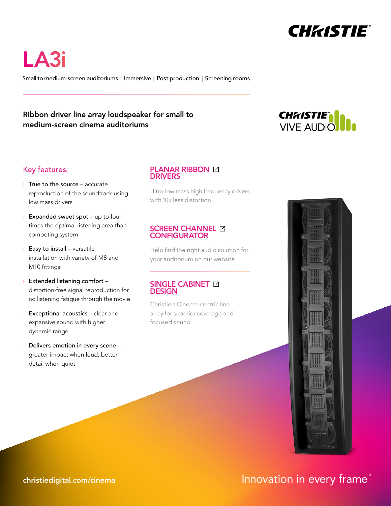

LA3i

Small to medium-screen auditoriums | Immersive | Post production | Screening rooms

## Ribbon driver line array loudspeaker for small to medium-screen cinema auditoriums



## Key features:

- $\rightarrow$  True to the source accurate reproduction of the soundtrack using low mass drivers
- $\rightarrow$  Expanded sweet spot up to four times the optimal listening area than competing system
- $\rightarrow$  Easy to install versatile installation with variety of M8 and M10 fittings
- › Extended listening comfort distortion-free signal reproduction for no listening fatigue through the movie
- $\rightarrow$  Exceptional acoustics clear and expansive sound with higher dynamic range
- Delivers emotion in every scene greater impact when loud, better detail when quiet

### **PLANAR RIBBON [2] DRIVERS**

[Ultra-low mass high frequency drivers](https://www.christiedigital.com/help-center/whitepapers/advantages-of-christie-planar-ribbon-technologies/?utm_source=datasheet&utm_medium=pdf&utm_campaign=ci-collateral&utm_content=LA3i) with 10x less distortion

### **SCREEN CHANNEL [2] CONFIGURATOR**

[Help find the right audio solution for](http://www.viveaudio.com/?utm_source=datasheet&utm_medium=pdf&utm_campaign=ci-collateral&utm_content=LA3i#configurator)  your auditorium on our website

### SINGLE CABINET **EX DESIGN**

Christie's Cinema-centric line [array for superior coverage and](https://www.christiedigital.com/help-center/whitepapers/next-level-audio-performance/?utm_source=datasheet&utm_medium=pdf&utm_campaign=ci-collateral&utm_content=LA3i)  focused sound



# [christiedigital.com/cinema](https://www.christiedigital.com/cinema/)  $\blacksquare$  Innovation in every frame  $\blacksquare$